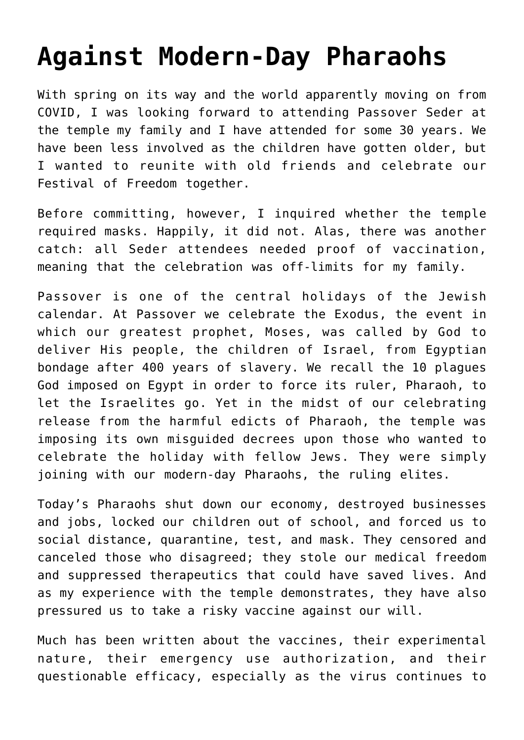## **[Against Modern-Day Pharaohs](https://intellectualtakeout.org/2022/04/against-modern-day-pharaohs/)**

With spring on its way and the world apparently moving on from COVID, I was looking forward to attending Passover Seder at the temple my family and I have attended for some 30 years. We have been less involved as the children have gotten older, but I wanted to reunite with old friends and celebrate our Festival of Freedom together.

Before committing, however, I inquired whether the temple required masks. Happily, it did not. Alas, there was another catch: all Seder attendees needed proof of vaccination, meaning that the celebration was off-limits for my family.

Passover is one of the central holidays of the Jewish calendar. At Passover we celebrate the Exodus, the event in which our greatest prophet, Moses, was called by God to deliver His people, the children of Israel, from Egyptian bondage after 400 years of slavery. We recall the 10 plagues God imposed on Egypt in order to force its ruler, Pharaoh, to let the Israelites go. Yet in the midst of our celebrating release from the harmful edicts of Pharaoh, the temple was imposing its own misguided decrees upon those who wanted to celebrate the holiday with fellow Jews. They were simply joining with our modern-day Pharaohs, the ruling elites.

Today's Pharaohs shut down our economy, destroyed businesses and jobs, locked our children out of school, and forced us to social distance, quarantine, test, and mask. They censored and canceled those who disagreed; they stole our medical freedom and suppressed therapeutics that could have saved lives. And as my experience with the temple demonstrates, they have also pressured us to take a risky vaccine against our will.

Much has been written about the vaccines, their experimental nature, their emergency use authorization, and their questionable efficacy, especially as the virus continues to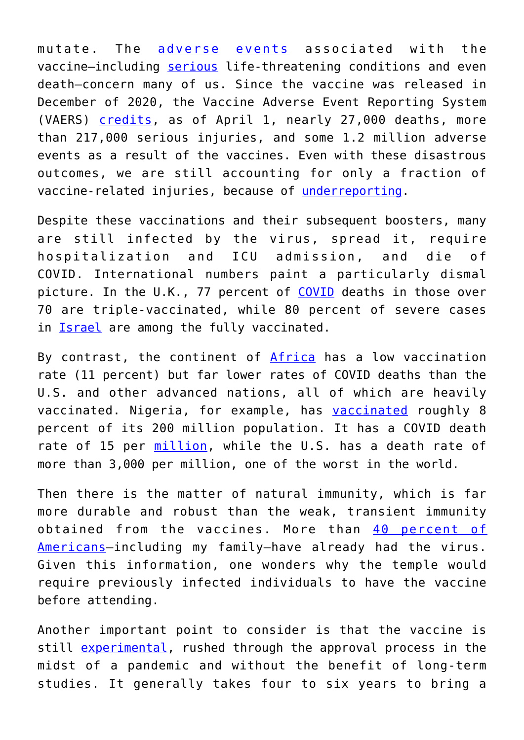mutate. The [adverse](https://openvaers.com/covid-data/myo-pericarditis) [events](https://phmpt.org/wp-content/uploads/2021/11/5.3.6-postmarketing-experience.pdf) associated with the vaccine—including [serious](https://phmpt.org/wp-content/uploads/2022/03/125742_S1_M5_c4591001-T-S-final-reacto-tables-track.pdf) life-threatening conditions and even death—concern many of us. Since the vaccine was released in December of 2020, the Vaccine Adverse Event Reporting System (VAERS) [credits,](https://theirishsentinel.com/2022/04/10/cardiac-disorders-account-for-20-of-1-2-million-injuries-reported-after-covid-vaccines-vaers-data-show/) as of April 1, nearly 27,000 deaths, more than 217,000 serious injuries, and some 1.2 million adverse events as a result of the vaccines. Even with these disastrous outcomes, we are still accounting for only a fraction of vaccine-related injuries, because of [underreporting.](https://flybynews.wordpress.com/2021/12/20/what-the-vaers-data-tell-us-about-covid-jab-safety/)

Despite these vaccinations and their subsequent boosters, many are still infected by the virus, spread it, require hospitalization and ICU admission, and die of COVID. International numbers paint a particularly dismal picture. In the U.K., 77 percent of [COVID](https://www.theblaze.com/op-ed/horowitz-record-infections-in-super-vaxxed-uk-seniors-as-double-vaxxed-show-negative-efficacy-against-covid-death) deaths in those over 70 are triple-vaccinated, while 80 percent of severe cases in [Israel](https://www.israelnationalnews.com/news/321674) are among the fully vaccinated.

By contrast, the continent of [Africa](https://www.theblaze.com/op-ed/horowitz-leave-africa-alone-and-stop-forcing-the-shots-it-clearly-doesnt-need) has a low vaccination rate (11 percent) but far lower rates of COVID deaths than the U.S. and other advanced nations, all of which are heavily vaccinated. Nigeria, for example, has [vaccinated](https://en.wikipedia.org/wiki/COVID-19_vaccination_in_Nigeria) roughly 8 percent of its 200 million population. It has a COVID death rate of 15 per [million,](https://www.worldometers.info/coronavirus/#countries) while the U.S. has a death rate of more than 3,000 per million, one of the worst in the world.

Then there is the matter of natural immunity, which is far more durable and robust than the weak, transient immunity obtained from the vaccines. More than [40 percent of](https://www.washingtonpost.com/health/2022/02/28/covid-cases-nationwide/) Americans-including my family-have already had the virus. Given this information, one wonders why the temple would require previously infected individuals to have the vaccine before attending.

Another important point to consider is that the vaccine is still [experimental](https://newsvoice.se/2021/08/dr-mercola-analysis-robert-malone/), rushed through the approval process in the midst of a pandemic and without the benefit of long-term studies. It generally takes four to six years to bring a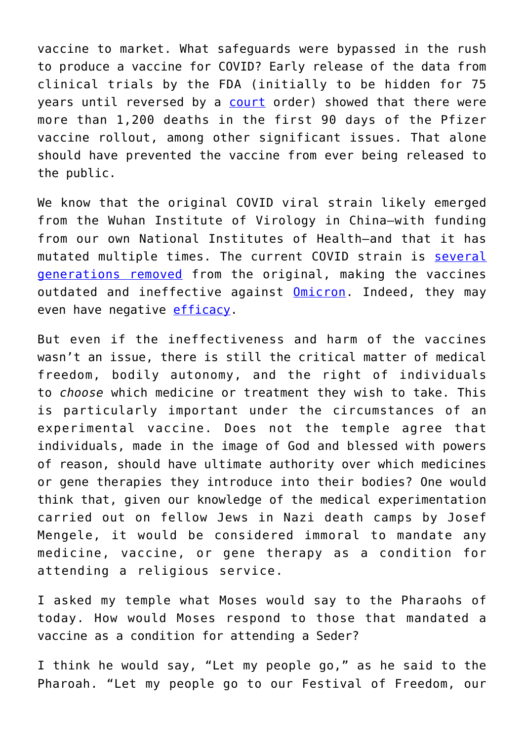vaccine to market. What safeguards were bypassed in the rush to produce a vaccine for COVID? Early release of the data from clinical trials by the FDA (initially to be hidden for 75 years until reversed by a [court](https://www.reuters.com/legal/government/paramount-importance-judge-orders-fda-hasten-release-pfizer-vaccine-docs-2022-01-07/) order) showed that there were more than 1,200 deaths in the first 90 days of the Pfizer vaccine rollout, among other significant issues. That alone should have prevented the vaccine from ever being released to the public.

We know that the original COVID viral strain likely emerged from the Wuhan Institute of Virology in China—with funding from our own National Institutes of Health—and that it has mutated multiple times. The current COVID strain is [several](https://www.mercurynews.com/2021/10/26/does-the-first-coronavirus-that-kicked-off-the-pandemic-still-exist-2/) [generations removed](https://www.mercurynews.com/2021/10/26/does-the-first-coronavirus-that-kicked-off-the-pandemic-still-exist-2/) from the original, making the vaccines outdated and ineffective against [Omicron](https://www.reuters.com/business/healthcare-pharmaceuticals/us-study-suggests-covid-19-vaccines-may-be-ineffective-against-omicron-without-2021-12-14/). Indeed, they may even have negative [efficacy.](https://www.theblaze.com/op-ed/horowitz-record-infections-in-super-vaxxed-uk-seniors-as-double-vaxxed-show-negative-efficacy-against-covid-death)

But even if the ineffectiveness and harm of the vaccines wasn't an issue, there is still the critical matter of medical freedom, bodily autonomy, and the right of individuals to *choose* which medicine or treatment they wish to take. This is particularly important under the circumstances of an experimental vaccine. Does not the temple agree that individuals, made in the image of God and blessed with powers of reason, should have ultimate authority over which medicines or gene therapies they introduce into their bodies? One would think that, given our knowledge of the medical experimentation carried out on fellow Jews in Nazi death camps by Josef Mengele, it would be considered immoral to mandate any medicine, vaccine, or gene therapy as a condition for attending a religious service.

I asked my temple what Moses would say to the Pharaohs of today. How would Moses respond to those that mandated a vaccine as a condition for attending a Seder?

I think he would say, "Let my people go," as he said to the Pharoah. "Let my people go to our Festival of Freedom, our